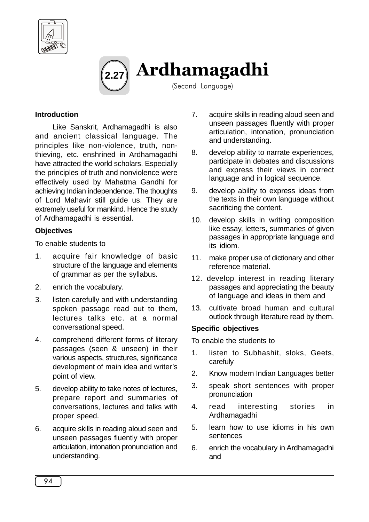



(Second Language)

#### **Introduction**

Like Sanskrit, Ardhamagadhi is also and ancient classical language. The principles like non-violence, truth, nonthieving, etc. enshrined in Ardhamagadhi have attracted the world scholars. Especially the principles of truth and nonviolence were effectively used by Mahatma Gandhi for achieving Indian independence. The thoughts of Lord Mahavir still guide us. They are extremely useful for mankind. Hence the study of Ardhamagadhi is essential.

#### **Objectives**

To enable students to

- 1. acquire fair knowledge of basic structure of the language and elements of grammar as per the syllabus.
- 2. enrich the vocabulary.
- 3. listen carefully and with understanding spoken passage read out to them, lectures talks etc. at a normal conversational speed.
- 4. comprehend different forms of literary passages (seen & unseen) in their various aspects, structures, significance development of main idea and writer's point of view.
- 5. develop ability to take notes of lectures, prepare report and summaries of conversations, lectures and talks with proper speed.
- 6. acquire skills in reading aloud seen and unseen passages fluently with proper articulation, intonation pronunciation and understanding.
- 7. acquire skills in reading aloud seen and unseen passages fluently with proper articulation, intonation, pronunciation and understanding.
- 8. develop ability to narrate experiences, participate in debates and discussions and express their views in correct language and in logical sequence.
- 9. develop ability to express ideas from the texts in their own language without sacrificing the content.
- 10. develop skills in writing composition like essay, letters, summaries of given passages in appropriate language and its idiom.
- 11. make proper use of dictionary and other reference material.
- 12. develop interest in reading literary passages and appreciating the beauty of language and ideas in them and
- 13. cultivate broad human and cultural outlook through literature read by them.

#### **Specific objectives**

To enable the students to

- 1. listen to Subhashit, sloks, Geets, carefuly
- 2. Know modern Indian Languages better
- 3. speak short sentences with proper pronunciation
- 4. read interesting stories in Ardhamagadhi
- 5. learn how to use idioms in his own sentences
- 6. enrich the vocabulary in Ardhamagadhi and